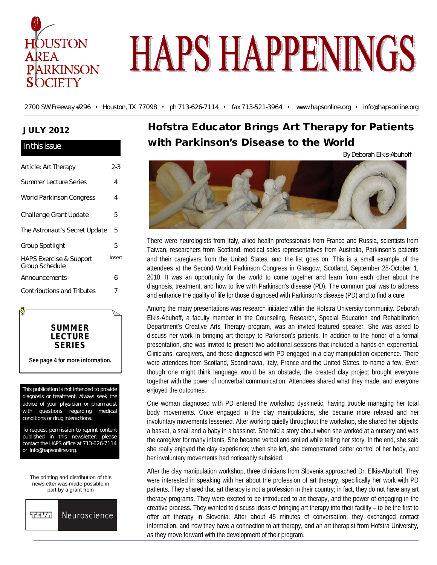

# **HAPS HAPPENINGS**

2700 SW Freeway #296 • Houston, TX 77098 • ph 713-626-7114 • fax 713-521-3964 • www.hapsonline.org • info@hapsonline.org

## **JULY 2012**

In this issue

| нгинэ гээчс                                          |        |
|------------------------------------------------------|--------|
| Article: Art Therapy                                 | 2-3    |
| <b>Summer Lecture Series</b>                         | 4      |
| World Parkinson Congress                             | 4      |
| Challenge Grant Update                               | 5      |
| The Astronaut's Secret Update                        | 5      |
| Group Spotlight                                      | 5      |
| <b>HAPS Exercise &amp; Support</b><br>Group Schedule | Insert |
| Announcements                                        | 6      |
| <b>Contributions and Tributes</b>                    | 7      |



**See page 4 for more information.**

This publication is not intended to provide diagnosis or treatment. Always seek the advice of your physician or pharmacist with questions regarding medical conditions or drug interactions.

To request permission to reprint content published in this newsletter, please contact the HAPS office at 713-626-7114 or info@hapsonline.org.

The printing and distribution of this newsletter was made possible in part by a grant from



## **Hofstra Educator Brings Art Therapy for Patients with Parkinson's Disease to the World**

By Deborah Elkis-Abuhoff



There were neurologists from Italy, allied health professionals from France and Russia, scientists from Taiwan, researchers from Scotland, medical sales representatives from Australia, Parkinson's patients and their caregivers from the United States, and the list goes on. This is a small example of the attendees at the Second World Parkinson Congress in Glasgow, Scotland, September 28-October 1, 2010. It was an opportunity for the world to come together and learn from each other about the diagnosis, treatment, and how to live with Parkinson's disease (PD). The common goal was to address and enhance the quality of life for those diagnosed with Parkinson's disease (PD) and to find a cure.

Among the many presentations was research initiated within the Hofstra University community. Deborah Elkis-Abuhoff, a faculty member in the Counseling, Research, Special Education and Rehabilitation Department's Creative Arts Therapy program, was an invited featured speaker. She was asked to discuss her work in bringing art therapy to Parkinson's patients. In addition to the honor of a formal presentation, she was invited to present two additional sessions that included a hands-on experiential. Clinicians, caregivers, and those diagnosed with PD engaged in a clay manipulation experience. There were attendees from Scotland, Scandinavia, Italy, France and the United States, to name a few. Even though one might think language would be an obstacle, the created clay project brought everyone together with the power of nonverbal communication. Attendees shared what they made, and everyone enjoyed the outcomes.

One woman diagnosed with PD entered the workshop dyskinetic, having trouble managing her total body movements. Once engaged in the clay manipulations, she became more relaxed and her involuntary movements lessened. After working quietly throughout the workshop, she shared her objects: a basket, a snail and a baby in a bassinet. She told a story about when she worked at a nursery and was the caregiver for many infants. She became verbal and smiled while telling her story. In the end, she said she really enjoyed the clay experience; when she left, she demonstrated better control of her body, and her involuntary movements had noticeably subsided.

After the clay manipulation workshop, three clinicians from Slovenia approached Dr. Elkis-Abuhoff. They were interested in speaking with her about the profession of art therapy, specifically her work with PD patients. They shared that art therapy is not a profession in their country; in fact, they do not have any art therapy programs. They were excited to be introduced to art therapy, and the power of engaging in the creative process. They wanted to discuss ideas of bringing art therapy into their facility – to be the first to offer art therapy in Slovenia. After about 45 minutes of conversation, they exchanged contact information, and now they have a connection to art therapy, and an art therapist from Hofstra University, as they move forward with the development of their program.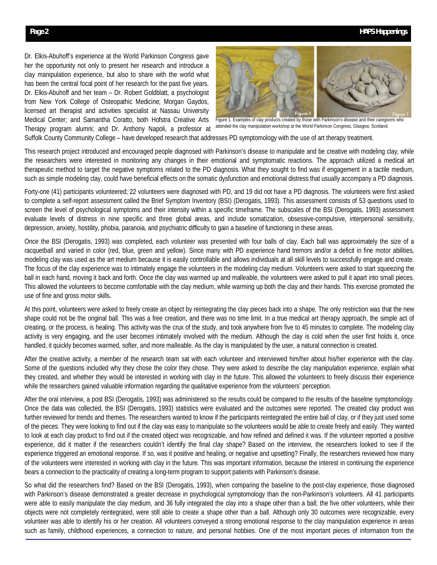Dr. Elkis-Abuhoff's experience at the World Parkinson Congress gave her the opportunity not only to present her research and introduce a clay manipulation experience, but also to share with the world what has been the central focal point of her research for the past five years. Dr. Elkis-Abuhoff and her team – Dr. Robert Goldblatt, a psychologist from New York College of Osteopathic Medicine; Morgan Gaydos, licensed art therapist and activities specialist at Nassau University Medical Center; and Samantha Coratto, both Hofstra Creative Arts Therapy program alumni; and Dr. Anthony Napoli, a professor at



Figure 1: Examples of clay products created by those with Parkinson's disease and their caregivers who attended the clay manipulation workshop at the World Parkinson Congress, Glasgow, Scotland.

Suffolk County Community College – have developed research that addresses PD symptomology with the use of art therapy treatment.

This research project introduced and encouraged people diagnosed with Parkinson's disease to manipulate and be creative with modeling clay, while the researchers were interested in monitoring any changes in their emotional and symptomatic reactions. The approach utilized a medical art therapeutic method to target the negative symptoms related to the PD diagnosis. What they sought to find was if engagement in a tactile medium, such as simple modeling clay, could have beneficial effects on the somatic dysfunction and emotional distress that usually accompany a PD diagnosis.

Forty-one (41) participants volunteered; 22 volunteers were diagnosed with PD, and 19 did not have a PD diagnosis. The volunteers were first asked to complete a self-report assessment called the Brief Symptom Inventory (BSI) (Derogatis, 1993). This assessment consists of 53 questions used to screen the level of psychological symptoms and their intensity within a specific timeframe. The subscales of the BSI (Derogatis, 1993) assessment evaluate levels of distress in nine specific and three global areas, and include somatization, obsessive-compulsive, interpersonal sensitivity, depression, anxiety, hostility, phobia, paranoia, and psychiatric difficulty to gain a baseline of functioning in these areas.

Once the BSI (Derogatis, 1993) was completed, each volunteer was presented with four balls of clay. Each ball was approximately the size of a racquetball and varied in color (red, blue, green and yellow). Since many with PD experience hand tremors and/or a deficit in fine motor abilities, modeling clay was used as the art medium because it is easily controllable and allows individuals at all skill levels to successfully engage and create. The focus of the clay experience was to intimately engage the volunteers in the modeling clay medium. Volunteers were asked to start squeezing the ball in each hand, moving it back and forth. Once the clay was warmed up and malleable, the volunteers were asked to pull it apart into small pieces. This allowed the volunteers to become comfortable with the clay medium, while warming up both the clay and their hands. This exercise promoted the use of fine and gross motor skills.

At this point, volunteers were asked to freely create an object by reintegrating the clay pieces back into a shape. The only restriction was that the new shape could not be the original ball. This was a free creation, and there was no time limit. In a true medical art therapy approach, the simple act of creating, or the process, is healing. This activity was the crux of the study, and took anywhere from five to 45 minutes to complete. The modeling clay activity is very engaging, and the user becomes intimately involved with the medium. Although the clay is cold when the user first holds it, once handled, it quickly becomes warmed, softer, and more malleable. As the clay is manipulated by the user, a natural connection is created.

After the creative activity, a member of the research team sat with each volunteer and interviewed him/her about his/her experience with the clay. Some of the questions included why they chose the color they chose. They were asked to describe the clay manipulation experience, explain what they created, and whether they would be interested in working with clay in the future. This allowed the volunteers to freely discuss their experience while the researchers gained valuable information regarding the qualitative experience from the volunteers' perception.

After the oral interview, a post BSI (Derogatis, 1993) was administered so the results could be compared to the results of the baseline symptomology. Once the data was collected, the BSI (Derogatis, 1993) statistics were evaluated and the outcomes were reported. The created clay product was further reviewed for trends and themes. The researchers wanted to know if the participants reintegrated the entire ball of clay, or if they just used some of the pieces. They were looking to find out if the clay was easy to manipulate so the volunteers would be able to create freely and easily. They wanted to look at each clay product to find out if the created object was recognizable, and how refined and defined it was. If the volunteer reported a positive experience, did it matter if the researchers couldn't identify the final clay shape? Based on the interview, the researchers looked to see if the experience triggered an emotional response. If so, was it positive and healing, or negative and upsetting? Finally, the researchers reviewed how many of the volunteers were interested in working with clay in the future. This was important information, because the interest in continuing the experience bears a connection to the practicality of creating a long-term program to support patients with Parkinson's disease.

So what did the researchers find? Based on the BSI (Derogatis, 1993), when comparing the baseline to the post-clay experience, those diagnosed with Parkinson's disease demonstrated a greater decrease in psychological symptomology than the non-Parkinson's volunteers. All 41 participants were able to easily manipulate the clay medium, and 36 fully integrated the clay into a shape other than a ball; the five other volunteers, while their objects were not completely reintegrated, were still able to create a shape other than a ball. Although only 30 outcomes were recognizable, every volunteer was able to identify his or her creation. All volunteers conveyed a strong emotional response to the clay manipulation experience in areas such as family, childhood experiences, a connection to nature, and personal hobbies. One of the most important pieces of information from the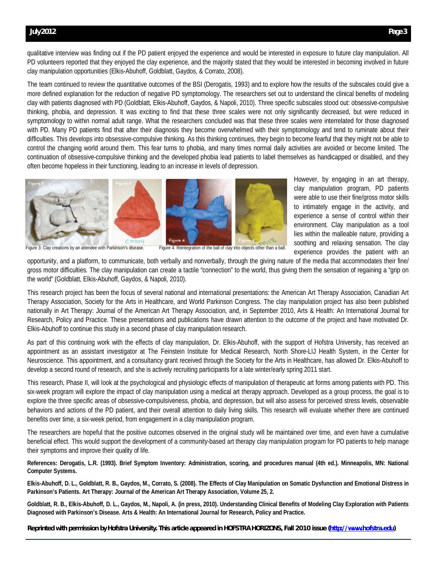#### **July 2012 Page 3**

qualitative interview was finding out if the PD patient enjoyed the experience and would be interested in exposure to future clay manipulation. All PD volunteers reported that they enjoyed the clay experience, and the majority stated that they would be interested in becoming involved in future clay manipulation opportunities (Elkis-Abuhoff, Goldblatt, Gaydos, & Corrato, 2008).

The team continued to review the quantitative outcomes of the BSI (Derogatis, 1993) and to explore how the results of the subscales could give a more defined explanation for the reduction of negative PD symptomology. The researchers set out to understand the clinical benefits of modeling clay with patients diagnosed with PD (Goldblatt, Elkis-Abuhoff, Gaydos, & Napoli, 2010). Three specific subscales stood out: obsessive-compulsive thinking, phobia, and depression. It was exciting to find that these three scales were not only significantly decreased, but were reduced in symptomology to within normal adult range. What the researchers concluded was that these three scales were interrelated for those diagnosed with PD. Many PD patients find that after their diagnosis they become overwhelmed with their symptomology and tend to ruminate about their difficulties. This develops into obsessive-compulsive thinking. As this thinking continues, they begin to become fearful that they might not be able to control the changing world around them. This fear turns to phobia, and many times normal daily activities are avoided or become limited. The continuation of obsessive-compulsive thinking and the developed phobia lead patients to label themselves as handicapped or disabled, and they often become hopeless in their functioning, leading to an increase in levels of depression.



However, by engaging in an art therapy, clay manipulation program, PD patients were able to use their fine/gross motor skills to intimately engage in the activity, and experience a sense of control within their environment. Clay manipulation as a tool lies within the malleable nature, providing a soothing and relaxing sensation. The clay experience provides the patient with an

opportunity, and a platform, to communicate, both verbally and nonverbally, through the giving nature of the media that accommodates their fine/ gross motor difficulties. The clay manipulation can create a tactile "connection" to the world, thus giving them the sensation of regaining a "grip on the world" (Goldblatt, Elkis-Abuhoff, Gaydos, & Napoli, 2010).

This research project has been the focus of several national and international presentations: the American Art Therapy Association, Canadian Art Therapy Association, Society for the Arts in Healthcare, and World Parkinson Congress. The clay manipulation project has also been published nationally in Art Therapy: Journal of the American Art Therapy Association, and, in September 2010, Arts & Health: An International Journal for Research, Policy and Practice. These presentations and publications have drawn attention to the outcome of the project and have motivated Dr. Elkis-Abuhoff to continue this study in a second phase of clay manipulation research.

As part of this continuing work with the effects of clay manipulation, Dr. Elkis-Abuhoff, with the support of Hofstra University, has received an appointment as an assistant investigator at The Feinstein Institute for Medical Research, North Shore-LIJ Health System, in the Center for Neuroscience. This appointment, and a consultancy grant received through the Society for the Arts in Healthcare, has allowed Dr. Elkis-Abuhoff to develop a second round of research, and she is actively recruiting participants for a late winter/early spring 2011 start.

This research, Phase II, will look at the psychological and physiologic effects of manipulation of therapeutic art forms among patients with PD. This six-week program will explore the impact of clay manipulation using a medical art therapy approach. Developed as a group process, the goal is to explore the three specific areas of obsessive-compulsiveness, phobia, and depression, but will also assess for perceived stress levels, observable behaviors and actions of the PD patient, and their overall attention to daily living skills. This research will evaluate whether there are continued benefits over time, a six-week period, from engagement in a clay manipulation program.

The researchers are hopeful that the positive outcomes observed in the original study will be maintained over time, and even have a cumulative beneficial effect. This would support the development of a community-based art therapy clay manipulation program for PD patients to help manage their symptoms and improve their quality of life.

**References: Derogatis, L.R. (1993). Brief Symptom Inventory: Administration, scoring, and procedures manual (4th ed.). Minneapolis, MN: National Computer Systems.**

**Elkis-Abuhoff, D. L., Goldblatt, R. B., Gaydos, M., Corrato, S. (2008). The Effects of Clay Manipulation on Somatic Dysfunction and Emotional Distress in Parkinson's Patients. Art Therapy: Journal of the American Art Therapy Association, Volume 25, 2.**

**Goldblatt, R. B., Elkis-Abuhoff, D. L., Gaydos, M., Napoli, A. (in press, 2010). Understanding Clinical Benefits of Modeling Clay Exploration with Patients Diagnosed with Parkinson's Disease. Arts & Health: An International Journal for Research, Policy and Practice.**

**Reprinted with permission by Hofstra University. This article appeared in** *HOFSTRA HORIZONS***, Fall 2010 issue (http://www.hofstra.edu)**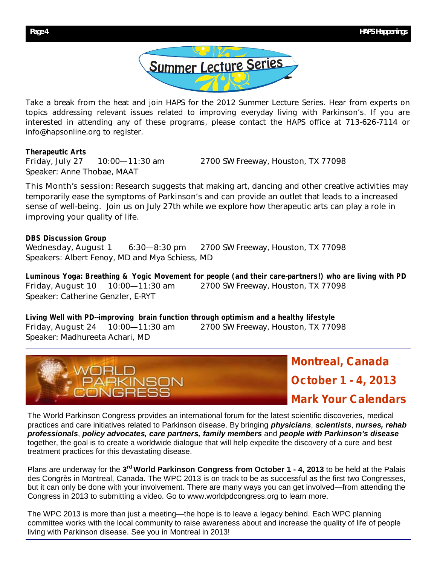

Take a break from the heat and join HAPS for the 2012 Summer Lecture Series. Hear from experts on topics addressing relevant issues related to improving everyday living with Parkinson's. If you are interested in attending any of these programs, please contact the HAPS office at 713-626-7114 or info@hapsonline.org to register.

## **Therapeutic Arts**

Friday, July 27 10:00—11:30 am 2700 SW Freeway, Houston, TX 77098 Speaker: Anne Thobae, MAAT

This Month's session: Research suggests that making art, dancing and other creative activities may temporarily ease the symptoms of Parkinson's and can provide an outlet that leads to a increased sense of well-being. Join us on July 27th while we explore how therapeutic arts can play a role in improving your quality of life.

**DBS Discussion Group** Wednesday, August 1 6:30–8:30 pm 2700 SW Freeway, Houston, TX 77098 Speakers: Albert Fenoy, MD and Mya Schiess, MD

**Luminous Yoga: Breathing & Yogic Movement for people (and their care-partners!) who are living with PD** Friday, August 10 10:00—11:30 am 2700 SW Freeway, Houston, TX 77098 Speaker: Catherine Genzler, E-RYT

**Living Well with PD--improving brain function through optimism and a healthy lifestyle** Friday, August 24 10:00—11:30 am 2700 SW Freeway, Houston, TX 77098 Speaker: Madhureeta Achari, MD



**Montreal, Canada October 1 - 4, 2013 Mark Your Calendars**

The World Parkinson Congress provides an international forum for the latest scientific discoveries, medical practices and care initiatives related to Parkinson disease. By bringing *physicians*, *scientists*, *nurses, rehab professionals*, *policy advocates, care partners, family members* and *people with Parkinson's disease* together, the goal is to create a worldwide dialogue that will help expedite the discovery of a cure and best treatment practices for this devastating disease.

Plans are underway for the 3<sup>rd</sup> World Parkinson Congress from October 1 - 4, 2013 to be held at the Palais des Congrès in Montreal, Canada. The WPC 2013 is on track to be as successful as the first two Congresses, but it can only be done with your involvement. There are many ways you can get involved—from attending the Congress in 2013 to submitting a video. Go to www.worldpdcongress.org to learn more.

The WPC 2013 is more than just a meeting—the hope is to leave a legacy behind. Each WPC planning committee works with the local community to raise awareness about and increase the quality of life of people living with Parkinson disease. See you in Montreal in 2013!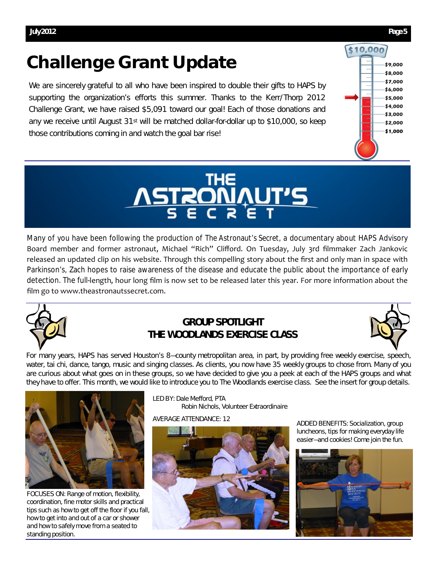## **Challenge Grant Update**

We are sincerely grateful to all who have been inspired to double their gifts to HAPS by supporting the organization's efforts this summer. Thanks to the Kerr/Thorp 2012 Challenge Grant, we have raised \$5,091 toward our goal! Each of those donations and any we receive until August 31<sup>st</sup> will be matched dollar-for-dollar up to \$10,000, so keep those contributions coming in and watch the goal bar rise!





Many of you have been following the production of *The Astronaut's Secret*, a documentary about HAPS Advisory Board member and former astronaut, Michael "Rich" Clifford. On Tuesday, July 3rd filmmaker Zach Jankovic released an updated clip on his website. Through this compelling story about the first and only man in space with Parkinson's, Zach hopes to raise awareness of the disease and educate the public about the importance of early detection. The full-length, hour long film is now set to be released later this year. For more information about the film go to www.theastronautssecret.com.



## **GROUP SPOTLIGHT THE WOODLANDS EXERCISE CLASS**



For many years, HAPS has served Houston's 8—county metropolitan area, in part, by providing free weekly exercise, speech, water, tai chi, dance, tango, music and singing classes. As clients, you now have 35 weekly groups to chose from. Many of you are curious about what goes on in these groups, so we have decided to give you a peek at each of the HAPS groups and what they have to offer. This month, we would like to introduce you to The Woodlands exercise class. See the insert for group details.



FOCUSES ON: Range of motion, flexibility, coordination, fine motor skills and practical tips such as how to get off the floor if you fall, how to get into and out of a car or shower and how to safely move from a seated to standing position.

LED BY: Dale Mefford, PTA Robin Nichols, Volunteer Extraordinaire

AVERAGE ATTENDANCE: 12



ADDED BENEFITS: Socialization, group luncheons, tips for making everyday life easier—and cookies! Come join the fun.

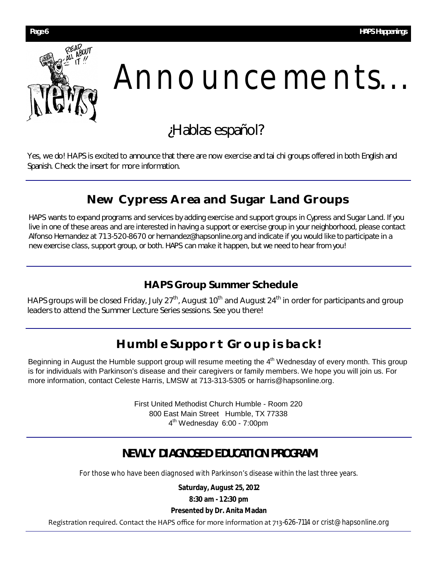

## Announcements...

## ¿Hablas español?

Yes, we do! HAPS is excited to announce that there are now exercise and tai chi groups offered in both English and Spanish. Check the insert for more information.

## **New Cypress Area and Sugar Land Groups**

HAPS wants to expand programs and services by adding exercise and support groups in Cypress and Sugar Land. If you live in one of these areas and are interested in having a support or exercise group in your neighborhood, please contact Alfonso Hernandez at 713-520-8670 or hernandez@hapsonline.org and indicate if you would like to participate in a new exercise class, support group, or both. HAPS can make it happen, but we need to hear from you!

## **HAPS Group Summer Schedule**

HAPS groups will be closed Friday, July 27<sup>th</sup>, August 10<sup>th</sup> and August 24<sup>th</sup> in order for participants and group leaders to attend the Summer Lecture Series sessions. See you there!

## **Humble Support Group is back!**

Beginning in August the Humble support group will resume meeting the 4<sup>th</sup> Wednesday of every month. This group is for individuals with Parkinson's disease and their caregivers or family members. We hope you will join us. For more information, contact Celeste Harris, LMSW at 713-313-5305 or harris@hapsonline.org.

> First United Methodist Church Humble - Room 220 800 East Main Street Humble, TX 77338 4 th Wednesday 6:00 - 7:00pm

## **NEWLY DIAGNOSED EDUCATION PROGRAM**

For those who have been diagnosed with Parkinson's disease within the last three years.

**Saturday, August 25, 2012**

**8:30 am - 1 2:30 pm**

## **Presented by Dr. Anita Madan**

Registration required. Contact the HAPS office for more information at 713-626-7114 or crist@hapsonline.org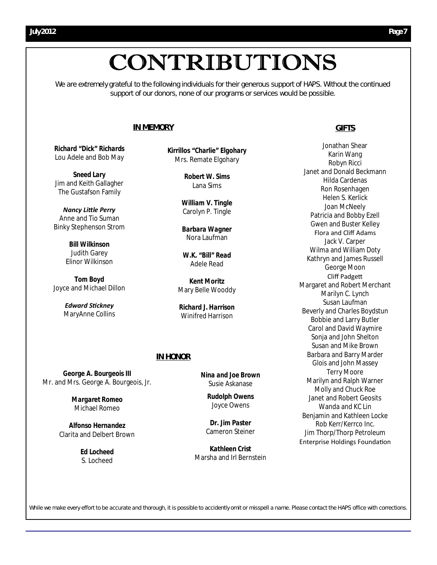## CONTRIBUTIONS

We are extremely grateful to the following individuals for their generous support of HAPS. Without the continued support of our donors, none of our programs or services would be possible.

#### **IN MEMORY**

*Richard "Dick" Richards*  Lou Adele and Bob May

*Sneed Lary* Jim and Keith Gallagher The Gustafson Family

*Nancy LiƩle Perry* Anne and Tio Suman Binky Stephenson Strom

> *Bill Wilkinson* Judith Garey Elinor Wilkinson

*Tom Boyd*  Joyce and Michael Dillon

> *Edward SƟckney* MaryAnne Collins

*Kirrillos "Charlie" Elgohary* Mrs. Remate Elgohary

> *Robert W. Sims* Lana Sims

*William V. Tingle* Carolyn P. Tingle

*Barbara Wagner* Nora Laufman

*W.K. "Bill" Read* Adele Read

*Kent Moritz* Mary Belle Wooddy

*Richard J. Harrison* Winifred Harrison

#### **IN HONOR**

*George A. Bourgeois III* Mr. and Mrs. George A. Bourgeois, Jr.

> *Margaret Romeo* Michael Romeo

*Alfonso Hernandez* Clarita and Delbert Brown

> *Ed Locheed* S. Locheed

*Nina and Joe Brown* Susie Askanase

> *Rudolph Owens* Joyce Owens

*Dr. Jim Paster* Cameron Steiner

*Kathleen Crist*  Marsha and Irl Bernstein

#### **GIFTS**

Jonathan Shear Karin Wang Robyn Ricci Janet and Donald Beckmann Hilda Cardenas Ron Rosenhagen Helen S. Kerlick Joan McNeely Patricia and Bobby Ezell Gwen and Buster Kelley Flora and Cliff Adams Jack V. Carper Wilma and William Doty Kathryn and James Russell George Moon Cliff Padgett Margaret and Robert Merchant Marilyn C. Lynch Susan Laufman Beverly and Charles Boydstun Bobbie and Larry Butler Carol and David Waymire Sonja and John Shelton Susan and Mike Brown Barbara and Barry Marder Glois and John Massey Terry Moore Marilyn and Ralph Warner Molly and Chuck Roe Janet and Robert Geosits Wanda and KC Lin Benjamin and Kathleen Locke Rob Kerr/Kerrco Inc. Jim Thorp/Thorp Petroleum Enterprise Holdings FoundaƟon

While we make every effort to be accurate and thorough, it is possible to accidently omit or misspell a name. Please contact the *HAPS* office with corrections.